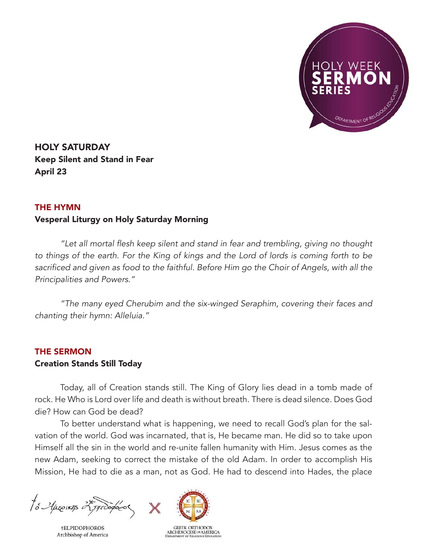

HOLY SATURDAY Keep Silent and Stand in Fear April 23

## THE HYMN

## Vesperal Liturgy on Holy Saturday Morning

 "Let all mortal flesh keep silent and stand in fear and trembling, giving no thought to things of the earth. For the King of kings and the Lord of lords is coming forth to be sacrificed and given as food to the faithful. Before Him go the Choir of Angels, with all the Principalities and Powers."

 "The many eyed Cherubim and the six-winged Seraphim, covering their faces and chanting their hymn: Alleluia."

## THE SERMON

## Creation Stands Still Today

Today, all of Creation stands still. The King of Glory lies dead in a tomb made of rock. He Who is Lord over life and death is without breath. There is dead silence. Does God die? How can God be dead?

To better understand what is happening, we need to recall God's plan for the salvation of the world. God was incarnated, that is, He became man. He did so to take upon Himself all the sin in the world and re-unite fallen humanity with Him. Jesus comes as the new Adam, seeking to correct the mistake of the old Adam. In order to accomplish His Mission, He had to die as a man, not as God. He had to descend into Hades, the place

to Aprovins 25 proopodo

**†ELPIDOPHOROS** Archbishop of America